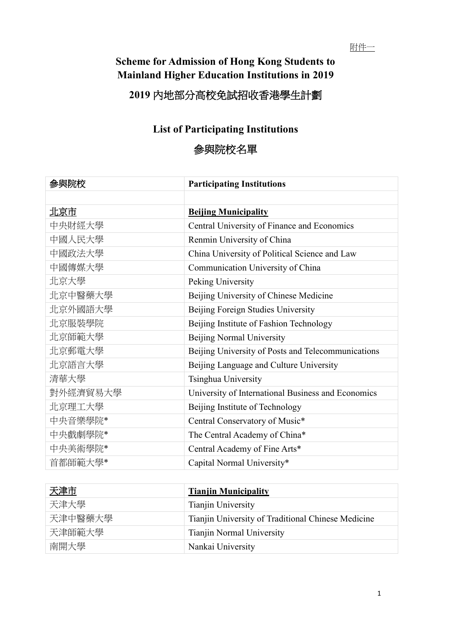## **Scheme for Admission of Hong Kong Students to Mainland Higher Education Institutions in 2019**

## **2019** 內地部分高校免試招收香港學生計劃

## **List of Participating Institutions**

## 參與院校名單

| 參與院校     | <b>Participating Institutions</b>                  |
|----------|----------------------------------------------------|
|          |                                                    |
| 北京市      | <b>Beijing Municipality</b>                        |
| 中央財經大學   | Central University of Finance and Economics        |
| 中國人民大學   | Renmin University of China                         |
| 中國政法大學   | China University of Political Science and Law      |
| 中國傳媒大學   | Communication University of China                  |
| 北京大學     | Peking University                                  |
| 北京中醫藥大學  | Beijing University of Chinese Medicine             |
| 北京外國語大學  | Beijing Foreign Studies University                 |
| 北京服裝學院   | Beijing Institute of Fashion Technology            |
| 北京師範大學   | Beijing Normal University                          |
| 北京郵電大學   | Beijing University of Posts and Telecommunications |
| 北京語言大學   | Beijing Language and Culture University            |
| 清華大學     | Tsinghua University                                |
| 對外經濟貿易大學 | University of International Business and Economics |
| 北京理工大學   | Beijing Institute of Technology                    |
| 中央音樂學院*  | Central Conservatory of Music*                     |
| 中央戲劇學院*  | The Central Academy of China*                      |
| 中央美術學院*  | Central Academy of Fine Arts*                      |
| 首都師範大學*  | Capital Normal University*                         |

| 天津市     | <b>Tianjin Municipality</b>                        |
|---------|----------------------------------------------------|
| 天津大學    | Tianjin University                                 |
| 天津中醫藥大學 | Tianjin University of Traditional Chinese Medicine |
| 天津師範大學  | <b>Tianjin Normal University</b>                   |
| 南開大學    | Nankai University                                  |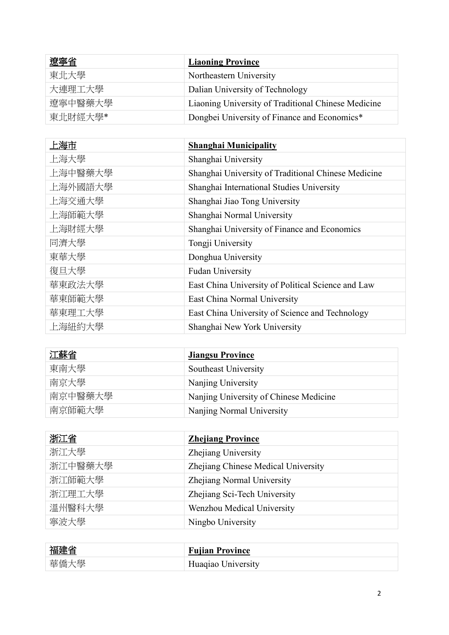| 遼寧省     | <b>Liaoning Province</b>                            |
|---------|-----------------------------------------------------|
| 東北大學    | Northeastern University                             |
| 大連理工大學  | Dalian University of Technology                     |
| 遼寧中醫藥大學 | Liaoning University of Traditional Chinese Medicine |
| 東北財經大學* | Dongbei University of Finance and Economics*        |

| 上海市     | <b>Shanghai Municipality</b>                        |
|---------|-----------------------------------------------------|
| 上海大學    | Shanghai University                                 |
| 上海中醫藥大學 | Shanghai University of Traditional Chinese Medicine |
| 上海外國語大學 | Shanghai International Studies University           |
| 上海交通大學  | Shanghai Jiao Tong University                       |
| 上海師範大學  | Shanghai Normal University                          |
| 上海財經大學  | Shanghai University of Finance and Economics        |
| 同濟大學    | Tongji University                                   |
| 東華大學    | Donghua University                                  |
| 復旦大學    | <b>Fudan University</b>                             |
| 華東政法大學  | East China University of Political Science and Law  |
| 華東師範大學  | East China Normal University                        |
| 華東理工大學  | East China University of Science and Technology     |
| 上海紐約大學  | Shanghai New York University                        |

| 江蘇省     | <b>Jiangsu Province</b>                |
|---------|----------------------------------------|
| 東南大學    | Southeast University                   |
| 南京大學    | Nanjing University                     |
| 南京中醫藥大學 | Nanjing University of Chinese Medicine |
| 南京師範大學  | Nanjing Normal University              |

| <u>浙江省</u> | <b>Zhejiang Province</b>            |
|------------|-------------------------------------|
| 浙江大學       | Zhejiang University                 |
| 浙江中醫藥大學    | Zhejiang Chinese Medical University |
| 浙江師範大學     | Zhejiang Normal University          |
| 浙江理工大學     | Zhejiang Sci-Tech University        |
| 溫州醫科大學     | Wenzhou Medical University          |
| 寧波大學       | Ningbo University                   |

| 福建省  | <b>Fujian Province</b> |
|------|------------------------|
| 華僑大學 | Huaqiao University     |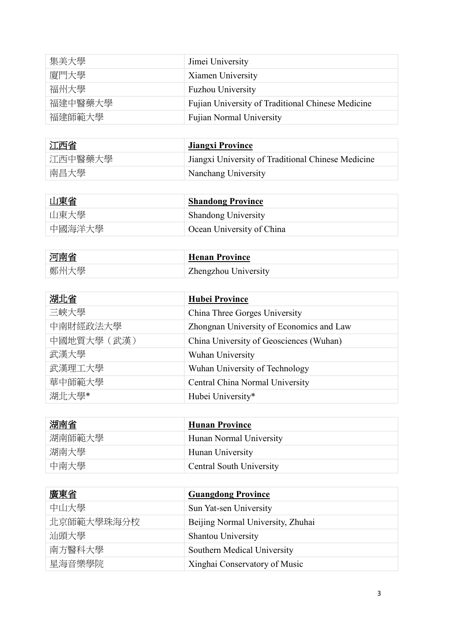| 集美大學    | Jimei University                                  |
|---------|---------------------------------------------------|
| 廈門大學    | Xiamen University                                 |
| 福州大學    | <b>Fuzhou University</b>                          |
| 福建中醫藥大學 | Fujian University of Traditional Chinese Medicine |
| 福建師範大學  | <b>Fujian Normal University</b>                   |

| 江西省     | <b>Jiangxi Province</b>                            |
|---------|----------------------------------------------------|
| 江西中醫藥大學 | Jiangxi University of Traditional Chinese Medicine |
| 南昌大學    | Nanchang University                                |

| 山東省    | <b>Shandong Province</b>   |
|--------|----------------------------|
| 山東大學   | <b>Shandong University</b> |
| 中國海洋大學 | Ocean University of China  |

| 河南省  | <b>Henan Province</b> |
|------|-----------------------|
| 鄭州大學 | Zhengzhou University  |

| 湖北省         | <b>Hubei Province</b>                    |
|-------------|------------------------------------------|
| 三峽大學        | China Three Gorges University            |
| 中南財經政法大學    | Zhongnan University of Economics and Law |
| 中國地質大學 (武漢) | China University of Geosciences (Wuhan)  |
| 武漢大學        | Wuhan University                         |
| 武漢理工大學      | Wuhan University of Technology           |
| 華中師範大學      | Central China Normal University          |
| 湖北大學*       | Hubei University*                        |

| 湖南省    | <b>Hunan Province</b>    |
|--------|--------------------------|
| 湖南師範大學 | Hunan Normal University  |
| 湖南大學   | Hunan University         |
| 中南大學   | Central South University |

| 廣東省        | <b>Guangdong Province</b>         |
|------------|-----------------------------------|
| 中山大學       | Sun Yat-sen University            |
| 北京師範大學珠海分校 | Beijing Normal University, Zhuhai |
| 汕頭大學       | <b>Shantou University</b>         |
| 南方醫科大學     | Southern Medical University       |
| 星海音樂學院     | Xinghai Conservatory of Music     |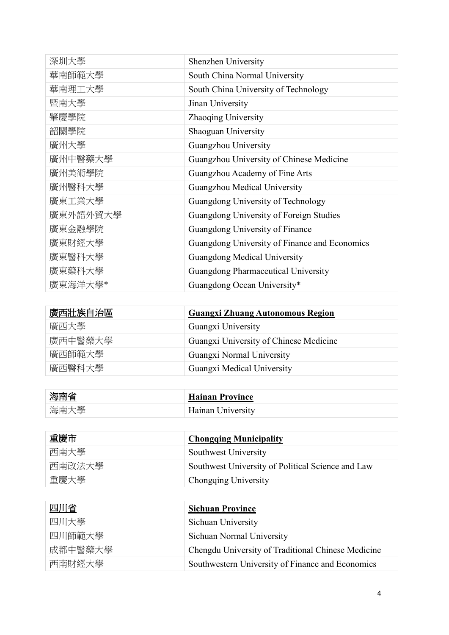| 深圳大學     | Shenzhen University                           |
|----------|-----------------------------------------------|
| 華南師範大學   | South China Normal University                 |
| 華南理工大學   | South China University of Technology          |
| 暨南大學     | Jinan University                              |
| 肇慶學院     | Zhaoqing University                           |
| 韶關學院     | Shaoguan University                           |
| 廣州大學     | Guangzhou University                          |
| 廣州中醫藥大學  | Guangzhou University of Chinese Medicine      |
| 廣州美術學院   | Guangzhou Academy of Fine Arts                |
| 廣州醫科大學   | Guangzhou Medical University                  |
| 廣東工業大學   | Guangdong University of Technology            |
| 廣東外語外貿大學 | Guangdong University of Foreign Studies       |
| 廣東金融學院   | Guangdong University of Finance               |
| 廣東財經大學   | Guangdong University of Finance and Economics |
| 廣東醫科大學   | <b>Guangdong Medical University</b>           |
| 廣東藥科大學   | Guangdong Pharmaceutical University           |
| 廣東海洋大學*  | Guangdong Ocean University*                   |

| 廣西壯族自治區 | <b>Guangxi Zhuang Autonomous Region</b> |
|---------|-----------------------------------------|
| 廣西大學    | Guangxi University                      |
| 廣西中醫藥大學 | Guangxi University of Chinese Medicine  |
| 廣西師範大學  | Guangxi Normal University               |
| 廣西醫科大學  | Guangxi Medical University              |

| 海南省  | <b>Hainan Province</b> |
|------|------------------------|
| 海南大學 | Hainan University      |

| 重慶市    | <b>Chongqing Municipality</b>                     |
|--------|---------------------------------------------------|
| 西南大學   | Southwest University                              |
| 西南政法大學 | Southwest University of Political Science and Law |
| 重慶大學   | Chongqing University                              |

| 四川省     | <b>Sichuan Province</b>                            |
|---------|----------------------------------------------------|
| 四川大學    | Sichuan University                                 |
| 四川師範大學  | Sichuan Normal University                          |
| 成都中醫藥大學 | Chengdu University of Traditional Chinese Medicine |
| 西南財經大學  | Southwestern University of Finance and Economics   |